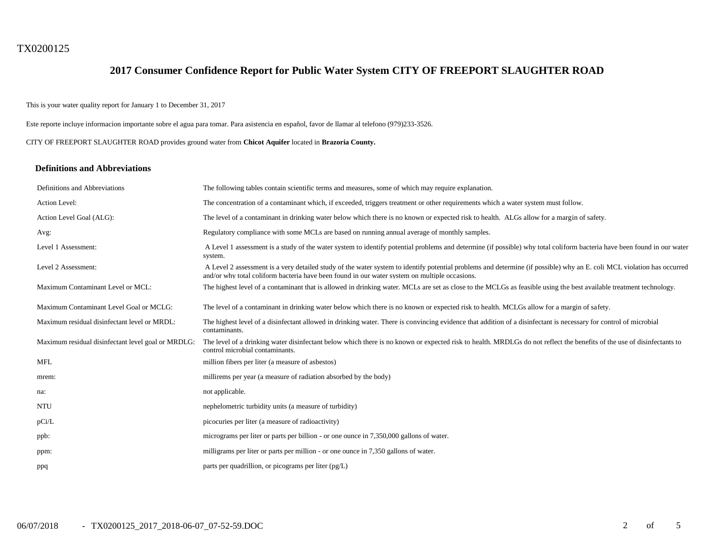# TX0200125

## **2017 Consumer Confidence Report for Public Water System CITY OF FREEPORT SLAUGHTER ROAD**

This is your water quality report for January 1 to December 31, 2017

Este reporte incluye informacion importante sobre el agua para tomar. Para asistencia en español, favor de llamar al telefono (979)233-3526.

CITY OF FREEPORT SLAUGHTER ROAD provides ground water from **Chicot Aquifer** located in **Brazoria County.**

#### **Definitions and Abbreviations**

| Definitions and Abbreviations                      | The following tables contain scientific terms and measures, some of which may require explanation.                                                                                                                                                                      |
|----------------------------------------------------|-------------------------------------------------------------------------------------------------------------------------------------------------------------------------------------------------------------------------------------------------------------------------|
| Action Level:                                      | The concentration of a contaminant which, if exceeded, triggers treatment or other requirements which a water system must follow.                                                                                                                                       |
| Action Level Goal (ALG):                           | The level of a contaminant in drinking water below which there is no known or expected risk to health. ALGs allow for a margin of safety.                                                                                                                               |
| Avg:                                               | Regulatory compliance with some MCLs are based on running annual average of monthly samples.                                                                                                                                                                            |
| Level 1 Assessment:                                | A Level 1 assessment is a study of the water system to identify potential problems and determine (if possible) why total coliform bacteria have been found in our water<br>system.                                                                                      |
| Level 2 Assessment:                                | A Level 2 assessment is a very detailed study of the water system to identify potential problems and determine (if possible) why an E. coli MCL violation has occurred<br>and/or why total coliform bacteria have been found in our water system on multiple occasions. |
| Maximum Contaminant Level or MCL:                  | The highest level of a contaminant that is allowed in drinking water. MCLs are set as close to the MCLGs as feasible using the best available treatment technology.                                                                                                     |
| Maximum Contaminant Level Goal or MCLG:            | The level of a contaminant in drinking water below which there is no known or expected risk to health. MCLGs allow for a margin of safety.                                                                                                                              |
| Maximum residual disinfectant level or MRDL:       | The highest level of a disinfectant allowed in drinking water. There is convincing evidence that addition of a disinfectant is necessary for control of microbial<br>contaminants.                                                                                      |
| Maximum residual disinfectant level goal or MRDLG: | The level of a drinking water disinfectant below which there is no known or expected risk to health. MRDLGs do not reflect the benefits of the use of disinfectants to<br>control microbial contaminants.                                                               |
| <b>MFL</b>                                         | million fibers per liter (a measure of asbestos)                                                                                                                                                                                                                        |
| mrem:                                              | millirems per year (a measure of radiation absorbed by the body)                                                                                                                                                                                                        |
| na:                                                | not applicable.                                                                                                                                                                                                                                                         |
| <b>NTU</b>                                         | nephelometric turbidity units (a measure of turbidity)                                                                                                                                                                                                                  |
| pCi/L                                              | picocuries per liter (a measure of radioactivity)                                                                                                                                                                                                                       |
| ppb:                                               | micrograms per liter or parts per billion - or one ounce in 7,350,000 gallons of water.                                                                                                                                                                                 |
| ppm:                                               | milligrams per liter or parts per million - or one ounce in 7,350 gallons of water.                                                                                                                                                                                     |
| ppq                                                | parts per quadrillion, or picograms per liter $(pg/L)$                                                                                                                                                                                                                  |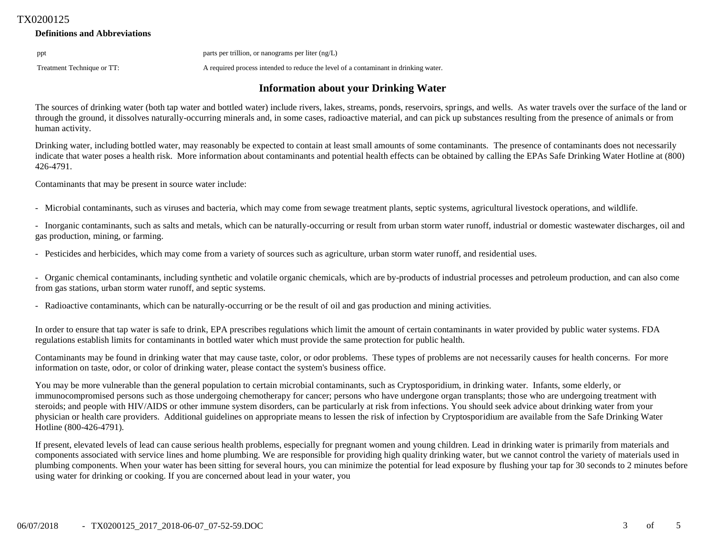## TX0200125

## **Definitions and Abbreviations**

ppt parts per trillion, or nanograms per liter (ng/L)

Treatment Technique or TT: A required process intended to reduce the level of a contaminant in drinking water.

# **Information about your Drinking Water**

The sources of drinking water (both tap water and bottled water) include rivers, lakes, streams, ponds, reservoirs, springs, and wells. As water travels over the surface of the land or through the ground, it dissolves naturally-occurring minerals and, in some cases, radioactive material, and can pick up substances resulting from the presence of animals or from human activity.

Drinking water, including bottled water, may reasonably be expected to contain at least small amounts of some contaminants. The presence of contaminants does not necessarily indicate that water poses a health risk. More information about contaminants and potential health effects can be obtained by calling the EPAs Safe Drinking Water Hotline at (800) 426-4791.

Contaminants that may be present in source water include:

- Microbial contaminants, such as viruses and bacteria, which may come from sewage treatment plants, septic systems, agricultural livestock operations, and wildlife.

- Inorganic contaminants, such as salts and metals, which can be naturally-occurring or result from urban storm water runoff, industrial or domestic wastewater discharges, oil and gas production, mining, or farming.

- Pesticides and herbicides, which may come from a variety of sources such as agriculture, urban storm water runoff, and residential uses.

- Organic chemical contaminants, including synthetic and volatile organic chemicals, which are by-products of industrial processes and petroleum production, and can also come from gas stations, urban storm water runoff, and septic systems.

- Radioactive contaminants, which can be naturally-occurring or be the result of oil and gas production and mining activities.

In order to ensure that tap water is safe to drink, EPA prescribes regulations which limit the amount of certain contaminants in water provided by public water systems. FDA regulations establish limits for contaminants in bottled water which must provide the same protection for public health.

Contaminants may be found in drinking water that may cause taste, color, or odor problems. These types of problems are not necessarily causes for health concerns. For more information on taste, odor, or color of drinking water, please contact the system's business office.

You may be more vulnerable than the general population to certain microbial contaminants, such as Cryptosporidium, in drinking water. Infants, some elderly, or immunocompromised persons such as those undergoing chemotherapy for cancer; persons who have undergone organ transplants; those who are undergoing treatment with steroids; and people with HIV/AIDS or other immune system disorders, can be particularly at risk from infections. You should seek advice about drinking water from your physician or health care providers. Additional guidelines on appropriate means to lessen the risk of infection by Cryptosporidium are available from the Safe Drinking Water Hotline (800-426-4791).

If present, elevated levels of lead can cause serious health problems, especially for pregnant women and young children. Lead in drinking water is primarily from materials and components associated with service lines and home plumbing. We are responsible for providing high quality drinking water, but we cannot control the variety of materials used in plumbing components. When your water has been sitting for several hours, you can minimize the potential for lead exposure by flushing your tap for 30 seconds to 2 minutes before using water for drinking or cooking. If you are concerned about lead in your water, you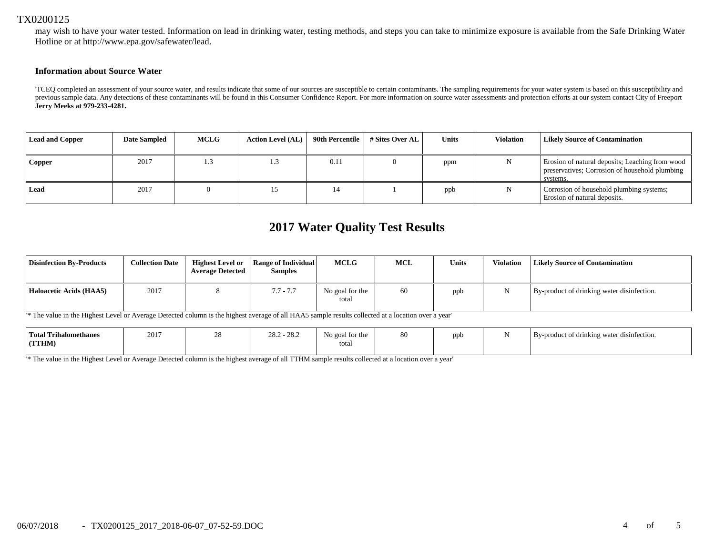## TX0200125

may wish to have your water tested. Information on lead in drinking water, testing methods, and steps you can take to minimize exposure is available from the Safe Drinking Water Hotline or at http://www.epa.gov/safewater/lead.

### **Information about Source Water**

'TCEQ completed an assessment of your source water, and results indicate that some of our sources are susceptible to certain contaminants. The sampling requirements for your water system is based on this susceptibility and previous sample data. Any detections of these contaminants will be found in this Consumer Confidence Report. For more information on source water assessments and protection efforts at our system contact City of Freeport **Jerry Meeks at 979-233-4281.**

| <b>Lead and Copper</b> | <b>Date Sampled</b> | <b>MCLG</b> | <b>Action Level (AL)</b> | 90th Percentile | # Sites Over AL | Units | <b>Violation</b> | <b>Likely Source of Contamination</b>                                                                         |
|------------------------|---------------------|-------------|--------------------------|-----------------|-----------------|-------|------------------|---------------------------------------------------------------------------------------------------------------|
| Copper                 | 2017                | 1.3         | 1.3                      | 0.1             |                 | ppm   |                  | Erosion of natural deposits; Leaching from wood<br>preservatives; Corrosion of household plumbing<br>systems. |
| Lead                   | 2017                |             |                          |                 |                 | ppb   | N                | Corrosion of household plumbing systems;<br>Erosion of natural deposits.                                      |

# **2017 Water Quality Test Results**

| <b>Disinfection By-Products</b> | <b>Collection Date</b> | <b>Highest Level or</b><br><b>Average Detected</b> | Range of Individual<br><b>Samples</b> | <b>MCLG</b>              | <b>MCL</b> | <b>Units</b> | Violation | <b>Likely Source of Contamination</b>      |
|---------------------------------|------------------------|----------------------------------------------------|---------------------------------------|--------------------------|------------|--------------|-----------|--------------------------------------------|
| Haloacetic Acids (HAA5)         | 2017                   |                                                    | $7.7 - 7.7$                           | No goal for the<br>total | 60         | ppb          |           | By-product of drinking water disinfection. |

'\* The value in the Highest Level or Average Detected column is the highest average of all HAA5 sample results collected at a location over a year'

| Total Trihalomethanes<br>(TTHM) | 2017 | $\cap$<br>202<br>20.2<br>- 20.2 | $\sim$ $\sim$<br>No goal for the<br>total | 80 | ppb | By-product of drinking water disinfection. |
|---------------------------------|------|---------------------------------|-------------------------------------------|----|-----|--------------------------------------------|
|                                 |      |                                 |                                           |    |     |                                            |

'\* The value in the Highest Level or Average Detected column is the highest average of all TTHM sample results collected at a location over a year'